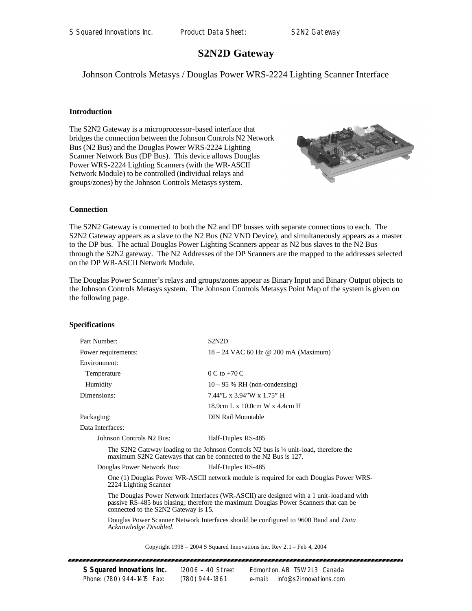# **S2N2D Gateway**

Johnson Controls Metasys / Douglas Power WRS-2224 Lighting Scanner Interface

## **Introduction**

The S2N2 Gateway is a microprocessor-based interface that bridges the connection between the Johnson Controls N2 Network Bus (N2 Bus) and the Douglas Power WRS-2224 Lighting Scanner Network Bus (DP Bus). This device allows Douglas Power WRS-2224 Lighting Scanners (with the WR-ASCII Network Module) to be controlled (individual relays and groups/zones) by the Johnson Controls Metasys system.



### **Connection**

The S2N2 Gateway is connected to both the N2 and DP busses with separate connections to each. The S2N2 Gateway appears as a slave to the N2 Bus (N2 VND Device), and simultaneously appears as a master to the DP bus. The actual Douglas Power Lighting Scanners appear as N2 bus slaves to the N2 Bus through the S2N2 gateway. The N2 Addresses of the DP Scanners are the mapped to the addresses selected on the DP WR-ASCII Network Module.

The Douglas Power Scanner's relays and groups/zones appear as Binary Input and Binary Output objects to the Johnson Controls Metasys system. The Johnson Controls Metasys Point Map of the system is given on the following page.

#### **Specifications**

| Part Number:                                     | S <sub>2</sub> N <sub>2</sub> D                                                                                                                                        |  |  |
|--------------------------------------------------|------------------------------------------------------------------------------------------------------------------------------------------------------------------------|--|--|
| Power requirements:                              | $18 - 24$ VAC 60 Hz @ 200 mA (Maximum)                                                                                                                                 |  |  |
| Environment:                                     |                                                                                                                                                                        |  |  |
| Temperature                                      | $0 C$ to $+70 C$                                                                                                                                                       |  |  |
| Humidity                                         | $10 - 95$ % RH (non-condensing)                                                                                                                                        |  |  |
| Dimensions:                                      | 7.44"L x 3.94"W x 1.75" H                                                                                                                                              |  |  |
|                                                  | 18.9cm L x 10.0cm W x 4.4cm H                                                                                                                                          |  |  |
| Packaging:                                       | <b>DIN Rail Mountable</b>                                                                                                                                              |  |  |
| Data Interfaces:                                 |                                                                                                                                                                        |  |  |
| Johnson Controls N2 Bus:                         | Half-Duplex RS-485                                                                                                                                                     |  |  |
|                                                  | The S2N2 Gateway loading to the Johnson Controls N2 bus is $\frac{1}{4}$ unit-load, therefore the<br>maximum S2N2 Gateways that can be connected to the N2 Bus is 127. |  |  |
| Douglas Power Network Bus:<br>Half-Duplex RS-485 |                                                                                                                                                                        |  |  |
|                                                  | One (1) Douglas Power WR-ASCII network module is required for each Douglas Power WRS-                                                                                  |  |  |

2224 Lighting Scanner

The Douglas Power Network Interfaces (WR-ASCII) are designed with a 1 unit-load and with passive RS-485 bus biasing; therefore the maximum Douglas Power Scanners that can be connected to the S2N2 Gateway is 15.

Douglas Power Scanner Network Interfaces should be configured to 9600 Baud and *Data Acknowledge Disabled*.

Copyright 1998 – 2004 S Squared Innovations Inc. Rev 2.1 – Feb 4, 2004

| S Squared Innovations Inc. | 12006 - 40 Street | Edmonton, AB T5W 2L3 Canada       |
|----------------------------|-------------------|-----------------------------------|
| Phone: (780) 944-1415 Fax: | (780) 944-1861    | info@s2innovations.com<br>e-mail: |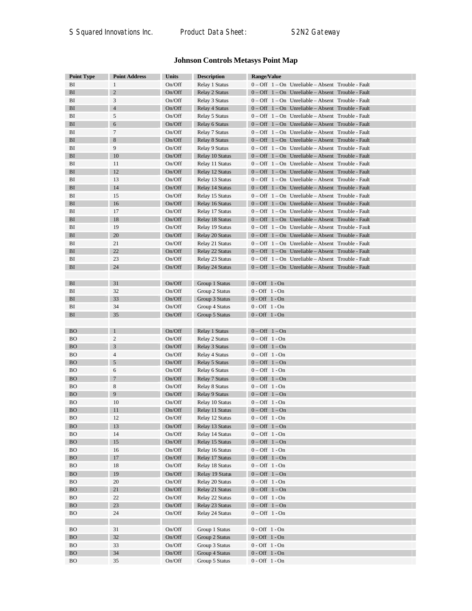# **Johnson Controls Metasys Point Map**

| <b>Point Type</b> | <b>Point Address</b> | <b>Units</b> | <b>Description</b> | Range/Value                                                          |
|-------------------|----------------------|--------------|--------------------|----------------------------------------------------------------------|
| BI                | $\mathbf{1}$         | On/Off       | Relay 1 Status     | 0 - Off 1 - On Unreliable - Absent Trouble - Fault                   |
| BI                | $\sqrt{2}$           | On/Off       | Relay 2 Status     | 0 - Off 1 - On Unreliable - Absent Trouble - Fault                   |
| BI                | 3                    | On/Off       | Relay 3 Status     | $0 - \text{Off } 1 - \text{On }$ Unreliable – Absent Trouble - Fault |
| BI                | $\overline{4}$       | On/Off       | Relay 4 Status     | 0 - Off 1 - On Unreliable - Absent Trouble - Fault                   |
| BI                | 5                    | On/Off       | Relay 5 Status     | 0 - Off 1 - On Unreliable - Absent Trouble - Fault                   |
| BI                | $\boldsymbol{6}$     | On/Off       | Relay 6 Status     | 0 – Off 1 – On Unreliable – Absent Trouble - Fault                   |
| BI                | 7                    | On/Off       | Relay 7 Status     | 0 - Off 1 - On Unreliable - Absent Trouble - Fault                   |
| BI                | $\,$ 8 $\,$          | On/Off       | Relay 8 Status     | $0 - \text{Off } 1 - \text{On }$ Unreliable - Absent Trouble - Fault |
| BI                | 9                    | On/Off       | Relay 9 Status     | 0 - Off 1 - On Unreliable - Absent Trouble - Fault                   |
| BI                | 10                   | On/Off       | Relay 10 Status    | 0 - Off 1 - On Unreliable - Absent Trouble - Fault                   |
| BI                | 11                   | On/Off       | Relay 11 Status    | $0 - \text{Off } 1 - \text{On }$ Unreliable – Absent Trouble - Fault |
| BI                | 12                   | On/Off       | Relay 12 Status    | $0 - \text{Off } 1 - \text{On }$ Unreliable - Absent Trouble - Fault |
| BI                | 13                   | On/Off       | Relay 13 Status    | 0 - Off 1 - On Unreliable - Absent Trouble - Fault                   |
| BI                | 14                   | On/Off       | Relay 14 Status    | 0 - Off 1 - On Unreliable - Absent Trouble - Fault                   |
| BI                | 15                   | On/Off       | Relay 15 Status    | 0 - Off 1 - On Unreliable - Absent Trouble - Fault                   |
| BI                | 16                   | On/Off       | Relay 16 Status    | 0 - Off 1 - On Unreliable - Absent Trouble - Fault                   |
| BI                | 17                   | On/Off       | Relay 17 Status    | $0 - \text{Off } 1 - \text{On }$ Unreliable – Absent Trouble - Fault |
| BI                | 18                   | On/Off       | Relay 18 Status    | $0 - \text{Off } 1 - \text{On }$ Unreliable - Absent Trouble - Fault |
| BI                | 19                   | On/Off       | Relay 19 Status    | $0 - \text{Off } 1 - \text{On }$ Unreliable – Absent Trouble - Fault |
| BI                | 20                   | On/Off       | Relay 20 Status    | $0 - \text{Off } 1 - \text{On }$ Unreliable - Absent Trouble - Fault |
| BI                | 21                   | On/Off       | Relay 21 Status    | 0 - Off 1 - On Unreliable - Absent Trouble - Fault                   |
| BI                | 22                   | On/Off       | Relay 22 Status    | $0 - \text{Off } 1 - \text{On }$ Unreliable - Absent Trouble - Fault |
| BI                | 23                   | On/Off       | Relay 23 Status    | 0 - Off 1 - On Unreliable - Absent Trouble - Fault                   |
| BI                | 24                   | On/Off       | Relay 24 Status    | 0 - Off 1 - On Unreliable - Absent Trouble - Fault                   |
|                   |                      |              |                    |                                                                      |
| BI                | 31                   | On/Off       | Group 1 Status     | $0$ - Off $1$ - On                                                   |
| BI                | 32                   | On/Off       | Group 2 Status     | $0 - \text{Off } 1 - \text{On}$                                      |
| BI                | 33                   | On/Off       | Group 3 Status     | $0 - Off 1 - On$                                                     |
| BI                | 34                   | On/Off       | Group 4 Status     | $0 - \text{Off } 1 - \text{On}$                                      |
| BI                | 35                   | On/Off       | Group 5 Status     | $0 - \text{Off } 1 - \text{On}$                                      |
|                   |                      |              |                    |                                                                      |
| <b>BO</b>         | -1                   | On/Off       | Relay 1 Status     | $0$ – Off $1$ – On                                                   |
| <b>BO</b>         | $\boldsymbol{2}$     | On/Off       | Relay 2 Status     | $0 - \text{Off } 1 - \text{On}$                                      |
| <b>BO</b>         | 3                    | On/Off       | Relay 3 Status     | $0 - Off \quad 1 - On$                                               |
| BO                | $\overline{4}$       | On/Off       | Relay 4 Status     | $0 - \text{Off } 1 - \text{On}$                                      |
| <b>BO</b>         | $\sqrt{5}$           | On/Off       | Relay 5 Status     | $0$ – Off $1$ – On                                                   |
| <b>BO</b>         | 6                    | On/Off       | Relay 6 Status     | $0 - \text{Off } 1 - \text{On}$                                      |
| <b>BO</b>         | $\overline{7}$       | On/Off       | Relay 7 Status     | $0$ – Off $1$ – On                                                   |
| <b>BO</b>         | 8                    | On/Off       | Relay 8 Status     | $0$ – Off 1 - On                                                     |
| <b>BO</b>         | 9                    | On/Off       | Relay 9 Status     | $0$ – Off $1$ – On                                                   |
| <b>BO</b>         | 10                   | On/Off       | Relay 10 Status    | $0 - \text{Off } 1 - \text{On}$                                      |
| <b>BO</b>         | 11                   | On/Off       | Relay 11 Status    | $0$ – Off $1$ – On                                                   |
| ВO                | 12                   | On/Off       | Relay 12 Status    | $0 - \text{Off } 1 - \text{On}$                                      |
| <b>BO</b>         | 13                   | On/Off       | Relay 13 Status    | $0 - Off \quad 1 - On$                                               |
| ВO                | 14                   | On/Off       | Relay 14 Status    | $0 - \text{Off } 1 - \text{On}$                                      |
| <b>BO</b>         | $15\,$               | On/Off       | Relay 15 Status    | $0 - Off \quad 1 - On$                                               |
| <b>BO</b>         | 16                   | On/Off       | Relay 16 Status    | $0 - \text{Off } 1 - \text{On}$                                      |
| <b>BO</b>         | 17                   | On/Off       | Relay 17 Status    | $0 - Off \quad 1 - On$                                               |
| <b>BO</b>         | 18                   | On/Off       | Relay 18 Status    | $0 - Off 1 - On$                                                     |
| <b>BO</b>         | 19                   | On/Off       | Relay 19 Status    | $0 - Off 1 - On$                                                     |
| <b>BO</b>         | 20                   | On/Off       | Relay 20 Status    | $0 - Off 1 - On$                                                     |
| <b>BO</b>         | 21                   | On/Off       | Relay 21 Status    | $0 - Off 1 - On$                                                     |
| <b>BO</b>         | 22                   | On/Off       | Relay 22 Status    | $0 - \text{Off } 1 - \text{On}$                                      |
| <b>BO</b>         | $23\,$               | On/Off       | Relay 23 Status    | $0 - Off 1 - On$                                                     |
| <b>BO</b>         | 24                   | On/Off       | Relay 24 Status    | $0 - \text{Off } 1 - \text{On}$                                      |
|                   |                      |              |                    |                                                                      |
| <b>BO</b>         | 31                   | On/Off       | Group 1 Status     | $0 - Off 1 - On$                                                     |
| <b>BO</b>         | 32                   | On/Off       | Group 2 Status     | $0$ - Off $1$ - On                                                   |
| ВO                | 33                   | On/Off       | Group 3 Status     | $0 - Off \ 1 - On$                                                   |
| <b>BO</b>         | 34                   | On/Off       | Group 4 Status     | $0$ - Off $1$ - On                                                   |
| ВO                | 35                   | On/Off       | Group 5 Status     | $0 - Off \quad 1 - On$                                               |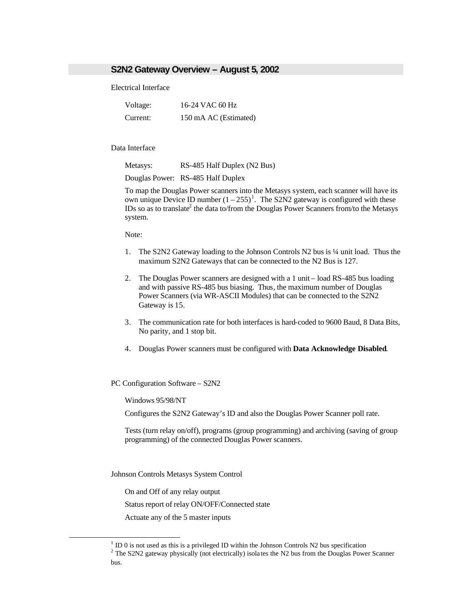# **S2N2 Gateway Overview – August 5, 2002**

Electrical Interface

| Voltage: | 16-24 VAC 60 Hz       |
|----------|-----------------------|
| Current: | 150 mA AC (Estimated) |

#### Data Interface

Metasys: RS-485 Half Duplex (N2 Bus)

Douglas Power: RS-485 Half Duplex

To map the Douglas Power scanners into the Metasys system, each scanner will have its own unique Device ID number  $(1 - 255)^1$ . The S2N2 gateway is configured with these IDs so as to translate<sup>2</sup> the data to/from the Douglas Power Scanners from/to the Metasys system.

Note:

- 1. The S2N2 Gateway loading to the Johnson Controls N2 bus is ¼ unit load. Thus the maximum S2N2 Gateways that can be connected to the N2 Bus is 127.
- 2. The Douglas Power scanners are designed with a 1 unit load RS-485 bus loading and with passive RS-485 bus biasing. Thus, the maximum number of Douglas Power Scanners (via WR-ASCII Modules) that can be connected to the S2N2 Gateway is 15.
- 3. The communication rate for both interfaces is hard-coded to 9600 Baud, 8 Data Bits, No parity, and 1 stop bit.
- 4. Douglas Power scanners must be configured with **Data Acknowledge Disabled**.

PC Configuration Software – S2N2

Windows 95/98/NT

Configures the S2N2 Gateway's ID and also the Douglas Power Scanner poll rate.

Tests (turn relay on/off), programs (group programming) and archiving (saving of group programming) of the connected Douglas Power scanners.

Johnson Controls Metasys System Control

On and Off of any relay output

 $\overline{a}$ 

Status report of relay ON/OFF/Connected state

Actuate any of the 5 master inputs

 $1$  ID 0 is not used as this is a privileged ID within the Johnson Controls N2 bus specification

 $2^2$  The S2N2 gateway physically (not electrically) isolates the N2 bus from the Douglas Power Scanner bus.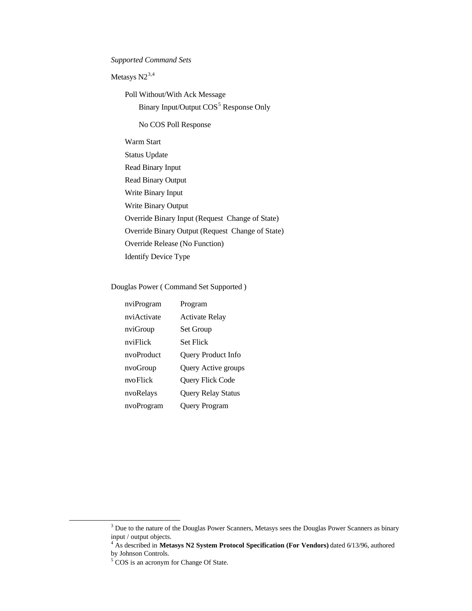*Supported Command Sets* 

Metasys  $N2^{3,4}$ 

Poll Without/With Ack Message Binary Input/Output COS<sup>5</sup> Response Only

No COS Poll Response

Warm Start Status Update Read Binary Input Read Binary Output Write Binary Input Write Binary Output Override Binary Input (Request Change of State) Override Binary Output (Request Change of State) Override Release (No Function) Identify Device Type

Douglas Power ( Command Set Supported )

| nviProgram  | Program                 |
|-------------|-------------------------|
| nviActivate | <b>Activate Relay</b>   |
| nviGroup    | <b>Set Group</b>        |
| nviFlick    | Set Flick               |
| nvoProduct  | Query Product Info      |
| nvoGroup    | Query Active groups     |
| nvoFlick    | <b>Query Flick Code</b> |
| nvoRelays   | Query Relay Status      |
| nvoProgram  | Query Program           |
|             |                         |

l

 $3$  Due to the nature of the Douglas Power Scanners, Metasys sees the Douglas Power Scanners as binary input / output objects.

<sup>&</sup>lt;sup>4</sup> As described in Metasys N2 System Protocol Specification (For Vendors) dated 6/13/96, authored by Johnson Controls.

<sup>&</sup>lt;sup>5</sup> COS is an acronym for Change Of State.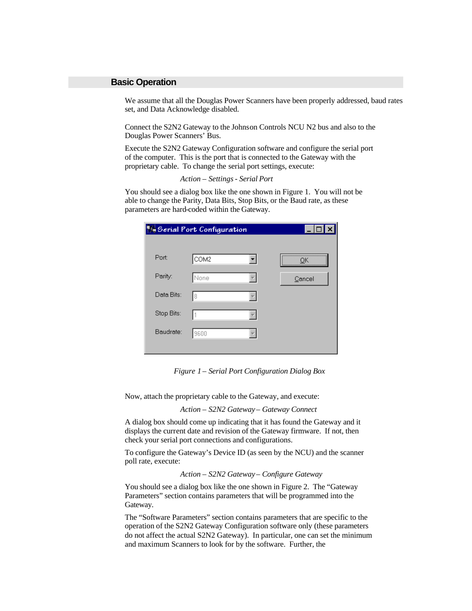## **Basic Operation**

We assume that all the Douglas Power Scanners have been properly addressed, baud rates set, and Data Acknowledge disabled.

Connect the S2N2 Gateway to the Johnson Controls NCU N2 bus and also to the Douglas Power Scanners' Bus.

Execute the S2N2 Gateway Configuration software and configure the serial port of the computer. This is the port that is connected to the Gateway with the proprietary cable. To change the serial port settings, execute:

*Action – Settings - Serial Port*

You should see a dialog box like the one shown in Figure 1. You will not be able to change the Parity, Data Bits, Stop Bits, or the Baud rate, as these parameters are hard-coded within the Gateway.

|            | <b>We Serial Port Configuration</b> | EI     |
|------------|-------------------------------------|--------|
|            |                                     |        |
| Port:      | COM2                                |        |
| Parity:    | None                                | Cancel |
| Data Bits: | 8                                   |        |
| Stop Bits: |                                     |        |
| Baudrate:  | 9600                                |        |
|            |                                     |        |

*Figure 1 – Serial Port Configuration Dialog Box*

Now, attach the proprietary cable to the Gateway, and execute:

*Action – S2N2 Gateway – Gateway Connect*

A dialog box should come up indicating that it has found the Gateway and it displays the current date and revision of the Gateway firmware. If not, then check your serial port connections and configurations.

To configure the Gateway's Device ID (as seen by the NCU) and the scanner poll rate, execute:

*Action – S2N2 Gateway – Configure Gateway*

You should see a dialog box like the one shown in Figure 2. The "Gateway Parameters" section contains parameters that will be programmed into the Gateway.

The "Software Parameters" section contains parameters that are specific to the operation of the S2N2 Gateway Configuration software only (these parameters do not affect the actual S2N2 Gateway). In particular, one can set the minimum and maximum Scanners to look for by the software. Further, the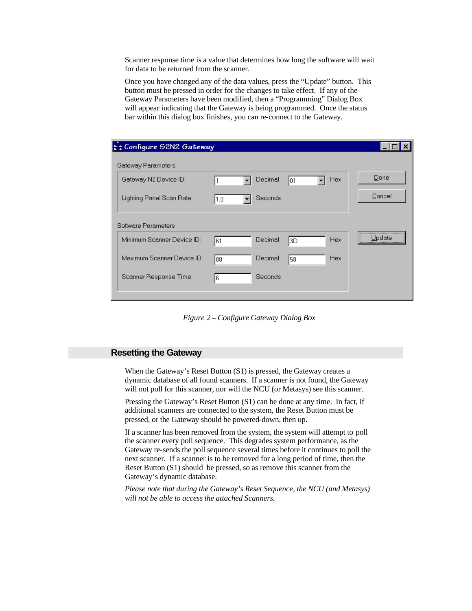Scanner response time is a value that determines how long the software will wait for data to be returned from the scanner.

Once you have changed any of the data values, press the "Update" button. This button must be pressed in order for the changes to take effect. If any of the Gateway Parameters have been modified, then a "Programming" Dialog Box will appear indicating that the Gateway is being programmed. Once the status bar within this dialog box finishes, you can re-connect to the Gateway.

| <b>El</b> Configure 52N2 Gateway |      |         |     |            |        |
|----------------------------------|------|---------|-----|------------|--------|
| Gateway Parameters               |      |         |     |            |        |
| Gateway N2 Device ID:            |      | Decimal | 101 | <b>Hex</b> | Done   |
| Lighting Panel Scan Rate:        | 11.0 | Seconds |     |            | Cancel |
| Software Parameters              |      |         |     |            |        |
| Minimum Scanner Device ID:       | 161  | Decimal | 3D  | Hex        | Update |
| Maximum Scanner Device ID:       | 188  | Decimal | 58  | <b>Hex</b> |        |
| Scanner Response Time:           | 16   | Seconds |     |            |        |
|                                  |      |         |     |            |        |

*Figure 2 – Configure Gateway Dialog Box*

# **Resetting the Gateway**

When the Gateway's Reset Button (S1) is pressed, the Gateway creates a dynamic database of all found scanners. If a scanner is not found, the Gateway will not poll for this scanner, nor will the NCU (or Metasys) see this scanner.

Pressing the Gateway's Reset Button (S1) can be done at any time. In fact, if additional scanners are connected to the system, the Reset Button must be pressed, or the Gateway should be powered-down, then up.

If a scanner has been removed from the system, the system will attempt to poll the scanner every poll sequence. This degrades system performance, as the Gateway re-sends the poll sequence several times before it continues to poll the next scanner. If a scanner is to be removed for a long period of time, then the Reset Button (S1) should be pressed, so as remove this scanner from the Gateway's dynamic database.

*Please note that during the Gateway's Reset Sequence, the NCU (and Metasys) will not be able to access the attached Scanners.*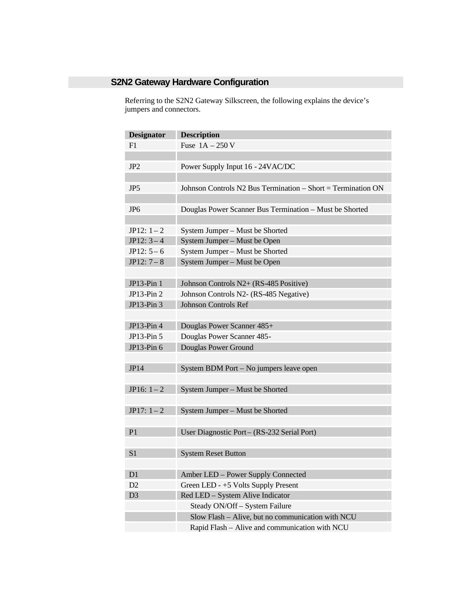# **S2N2 Gateway Hardware Configuration**

Referring to the S2N2 Gateway Silkscreen, the following explains the device's jumpers and connectors.

| <b>Designator</b> | <b>Description</b>                                           |
|-------------------|--------------------------------------------------------------|
| F1                | Fuse $1A - 250V$                                             |
|                   |                                                              |
| JP <sub>2</sub>   | Power Supply Input 16 - 24VAC/DC                             |
|                   |                                                              |
| JP <sub>5</sub>   | Johnson Controls N2 Bus Termination - Short = Termination ON |
|                   |                                                              |
| JP <sub>6</sub>   | Douglas Power Scanner Bus Termination - Must be Shorted      |
|                   |                                                              |
| $JP12: 1-2$       | System Jumper - Must be Shorted                              |
| $JP12: 3-4$       | System Jumper - Must be Open                                 |
| $JP12: 5-6$       | System Jumper - Must be Shorted                              |
| $JP12: 7-8$       | System Jumper - Must be Open                                 |
|                   |                                                              |
| JP13-Pin 1        | Johnson Controls N2+ (RS-485 Positive)                       |
| $JP13-Pin2$       | Johnson Controls N2- (RS-485 Negative)                       |
| JP13-Pin 3        | <b>Johnson Controls Ref</b>                                  |
|                   |                                                              |
| JP13-Pin 4        | Douglas Power Scanner 485+                                   |
| $JP13-Pin5$       | Douglas Power Scanner 485-                                   |
| JP13-Pin 6        | Douglas Power Ground                                         |
|                   |                                                              |
| JP14              | System BDM Port - No jumpers leave open                      |
|                   |                                                              |
| JP16: $1 - 2$     | System Jumper - Must be Shorted                              |
|                   |                                                              |
| $JP17: 1-2$       | System Jumper - Must be Shorted                              |
|                   |                                                              |
| P <sub>1</sub>    | User Diagnostic Port - (RS-232 Serial Port)                  |
|                   |                                                              |
| S <sub>1</sub>    | <b>System Reset Button</b>                                   |
|                   |                                                              |
| D <sub>1</sub>    | Amber LED - Power Supply Connected                           |
| D2                | Green LED - +5 Volts Supply Present                          |
| D <sub>3</sub>    | Red LED - System Alive Indicator                             |
|                   | Steady ON/Off - System Failure                               |
|                   | Slow Flash - Alive, but no communication with NCU            |
|                   | Rapid Flash - Alive and communication with NCU               |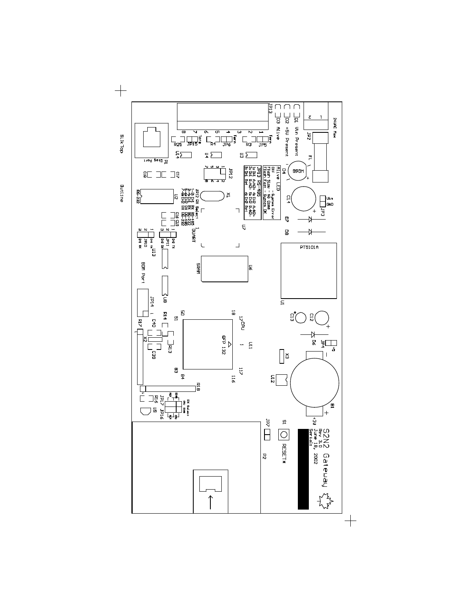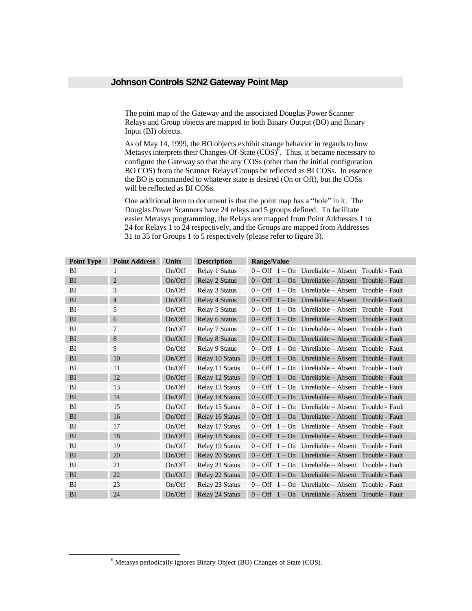## **Johnson Controls S2N2 Gateway Point Map**

The point map of the Gateway and the associated Douglas Power Scanner Relays and Group objects are mapped to both Binary Output (BO) and Binary Input (BI) objects.

As of May 14, 1999, the BO objects exhibit strange behavior in regards to how Metasys interprets their Changes-Of-State  $(COS)^6$ . Thus, it became necessary to configure the Gateway so that the any COSs (other than the initial configuration BO COS) from the Scanner Relays/Groups be reflected as BI COSs. In essence the BO is commanded to whatever state is desired (On or Off), but the COSs will be reflected as BI COSs.

One additional item to document is that the point map has a "hole" in it. The Douglas Power Scanners have 24 relays and 5 groups defined. To facilitate easier Metasys programming, the Relays are mapped from Point Addresses 1 to 24 for Relays 1 to 24 respectively, and the Groups are mapped from Addresses 31 to 35 for Groups 1 to 5 respectively (please refer to figure 3).

| <b>Point Type</b> | <b>Point Address</b> | <b>Units</b> | <b>Description</b>    | <b>Range/Value</b>                                                   |
|-------------------|----------------------|--------------|-----------------------|----------------------------------------------------------------------|
| BI                | 1                    | On/Off       | Relay 1 Status        | $0 - \text{Off } 1 - \text{On }$ Unreliable – Absent Trouble - Fault |
| <b>BI</b>         | 2                    | On/Off       | Relay 2 Status        | $0 - \text{Off } 1 - \text{On }$ Unreliable – Absent Trouble - Fault |
| BI                | 3                    | On/Off       | Relay 3 Status        | $0 - \text{Off } 1 - \text{On }$ Unreliable – Absent Trouble - Fault |
| BI                | $\overline{4}$       | On/Off       | <b>Relay 4 Status</b> | $0 - \text{Off } 1 - \text{On }$ Unreliable – Absent Trouble - Fault |
| BI                | 5                    | On/Off       | Relay 5 Status        | $0 - \text{Off } 1 - \text{On }$ Unreliable – Absent Trouble - Fault |
| BI                | 6                    | On/Off       | <b>Relay 6 Status</b> | $0 - \text{Off } 1 - \text{On }$ Unreliable – Absent Trouble - Fault |
| BI                | 7                    | On/Off       | <b>Relay 7 Status</b> | $0 - \text{Off } 1 - \text{On }$ Unreliable – Absent Trouble - Fault |
| BI                | 8                    | On/Off       | <b>Relay 8 Status</b> | $0 - \text{Off } 1 - \text{On }$ Unreliable - Absent Trouble - Fault |
| BI                | 9                    | On/Off       | <b>Relay 9 Status</b> | $0 - \text{Off } 1 - \text{On }$ Unreliable – Absent Trouble - Fault |
| BI                | 10                   | On/Off       | Relay 10 Status       | $0 - \text{Off } 1 - \text{On }$ Unreliable - Absent Trouble - Fault |
| BI                | 11                   | On/Off       | Relay 11 Status       | $0 - \text{Off } 1 - \text{On }$ Unreliable – Absent Trouble - Fault |
| BI                | 12                   | On/Off       | Relay 12 Status       | $0 - \text{Off } 1 - \text{On }$ Unreliable - Absent Trouble - Fault |
| BI                | 13                   | On/Off       | Relay 13 Status       | $0 - \text{Off } 1 - \text{On }$ Unreliable – Absent Trouble - Fault |
| BI                | 14                   | On/Off       | Relay 14 Status       | $0 - \text{Off } 1 - \text{On }$ Unreliable - Absent Trouble - Fault |
| BI                | 15                   | On/Off       | Relay 15 Status       | $0 - \text{Off } 1 - \text{On }$ Unreliable – Absent Trouble - Fault |
| BI                | 16                   | On/Off       | Relay 16 Status       | $0 - \text{Off } 1 - \text{On }$ Unreliable – Absent Trouble - Fault |
| BI                | 17                   | On/Off       | Relay 17 Status       | $0 - \text{Off } 1 - \text{On }$ Unreliable – Absent Trouble - Fault |
| BI                | 18                   | On/Off       | Relay 18 Status       | $0 - \text{Off } 1 - \text{On }$ Unreliable – Absent Trouble - Fault |
| BI                | 19                   | On/Off       | Relay 19 Status       | $0 - \text{Off } 1 - \text{On }$ Unreliable – Absent Trouble - Fault |
| BI                | 20                   | On/Off       | Relay 20 Status       | $0 - \text{Off } 1 - \text{On }$ Unreliable – Absent Trouble - Fault |
| BI                | 21                   | On/Off       | Relay 21 Status       | $0 - \text{Off } 1 - \text{On }$ Unreliable – Absent Trouble - Fault |
| BI                | 22                   | On/Off       | Relay 22 Status       | $0 - \text{Off } 1 - \text{On }$ Unreliable – Absent Trouble - Fault |
| BI                | 23                   | On/Off       | Relay 23 Status       | $0 - \text{Off } 1 - \text{On }$ Unreliable – Absent Trouble - Fault |
| <b>BI</b>         | 24                   | On/Off       | Relay 24 Status       | $0 - \text{Off } 1 - \text{On }$ Unreliable – Absent Trouble - Fault |

 $\overline{a}$ 

<sup>&</sup>lt;sup>6</sup> Metasys periodically ignores Binary Object (BO) Changes of State (COS).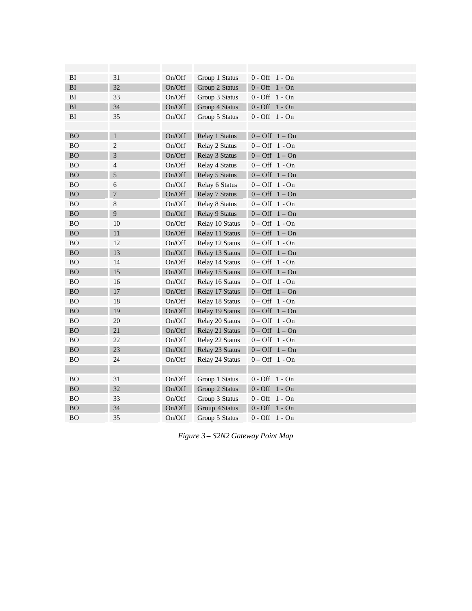| BI        | 31             | On/Off | Group 1 Status  | $0 - Off 1 - On$                |
|-----------|----------------|--------|-----------------|---------------------------------|
| BI        | 32             | On/Off | Group 2 Status  | $0 - Off 1 - On$                |
| BI        | 33             | On/Off | Group 3 Status  | $0 - Off 1 - On$                |
| BI        | 34             | On/Off | Group 4 Status  | $0 - Off 1 - On$                |
| BI        | 35             | On/Off | Group 5 Status  | $0 - \text{Off } 1 - \text{On}$ |
|           |                |        |                 |                                 |
| <b>BO</b> | $\mathbf{1}$   | On/Off | Relay 1 Status  | $0 - Off \quad 1 - On$          |
| <b>BO</b> | $\overline{c}$ | On/Off | Relay 2 Status  | $0 - Off 1 - On$                |
| <b>BO</b> | 3              | On/Off | Relay 3 Status  | $0 - Off \quad 1 - On$          |
| <b>BO</b> | 4              | On/Off | Relay 4 Status  | $0 - \text{Off } 1 - \text{On}$ |
| <b>BO</b> | 5              | On/Off | Relay 5 Status  | $0 - Off \quad 1 - On$          |
| <b>BO</b> | 6              | On/Off | Relay 6 Status  | $0 - \text{Off } 1 - \text{On}$ |
| <b>BO</b> | $\overline{7}$ | On/Off | Relay 7 Status  | $0 - Off \quad 1 - On$          |
| <b>BO</b> | 8              | On/Off | Relay 8 Status  | $0 - Off 1 - On$                |
| <b>BO</b> | 9              | On/Off | Relay 9 Status  | $0 - Off \quad 1 - On$          |
| <b>BO</b> | 10             | On/Off | Relay 10 Status | $0 - Off 1 - On$                |
| <b>BO</b> | 11             | On/Off | Relay 11 Status | $0 - Off \quad 1 - On$          |
| <b>BO</b> | 12             | On/Off | Relay 12 Status | $0 - Off 1 - On$                |
| <b>BO</b> | 13             | On/Off | Relay 13 Status | $0 - Off \quad 1 - On$          |
| <b>BO</b> | 14             | On/Off | Relay 14 Status | $0 - \text{Off } 1 - \text{On}$ |
| <b>BO</b> | 15             | On/Off | Relay 15 Status | $0 - Off \quad 1 - On$          |
| <b>BO</b> | 16             | On/Off | Relay 16 Status | $0 - Off \quad 1 - On$          |
| <b>BO</b> | 17             | On/Off | Relay 17 Status | $0 - Off \quad 1 - On$          |
| <b>BO</b> | 18             | On/Off | Relay 18 Status | $0 - \text{Off } 1 - \text{On}$ |
| BO        | 19             | On/Off | Relay 19 Status | $0 - Off \quad 1 - On$          |
| <b>BO</b> | 20             | On/Off | Relay 20 Status | $0 - \text{Off } 1 - \text{On}$ |
| <b>BO</b> | 21             | On/Off | Relay 21 Status | $0 - Off \quad 1 - On$          |
| <b>BO</b> | 22             | On/Off | Relay 22 Status | $0 - \text{Off } 1 - \text{On}$ |
| <b>BO</b> | 23             | On/Off | Relay 23 Status | $0 - Off \quad 1 - On$          |
| <b>BO</b> | 24             | On/Off | Relay 24 Status | $0 - Off \quad 1 - On$          |
|           |                |        |                 |                                 |
| <b>BO</b> | 31             | On/Off | Group 1 Status  | $0 - Off 1 - On$                |
| <b>BO</b> | 32             | On/Off | Group 2 Status  | $0 - Off \quad 1 - On$          |
| <b>BO</b> | 33             | On/Off | Group 3 Status  | $0 - Off \quad 1 - On$          |
| <b>BO</b> | 34             | On/Off | Group 4 Status  | $0 - \text{Off } 1 - \text{On}$ |
| <b>BO</b> | 35             | On/Off | Group 5 Status  | $0 - \text{Off } 1 - \text{On}$ |

*Figure 3 – S2N2 Gateway Point Map*